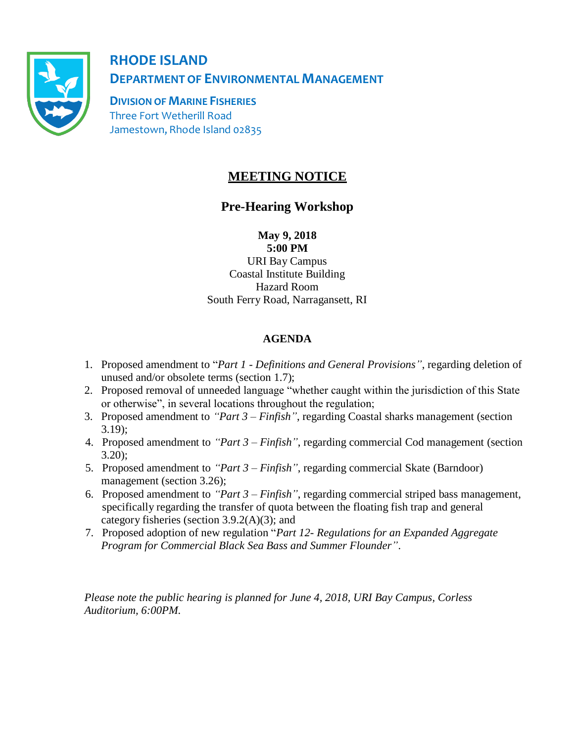

**RHODE ISLAND DEPARTMENTOF ENVIRONMENTAL MANAGEMENT**

**DIVISION OF MARINE FISHERIES**  Three Fort Wetherill Road Jamestown, Rhode Island 02835

## **MEETING NOTICE**

## **Pre-Hearing Workshop**

**May 9, 2018**

**5:00 PM** URI Bay Campus Coastal Institute Building Hazard Room South Ferry Road, Narragansett, RI

## **AGENDA**

- 1. Proposed amendment to "*Part 1 - Definitions and General Provisions"*, regarding deletion of unused and/or obsolete terms (section 1.7);
- 2. Proposed removal of unneeded language "whether caught within the jurisdiction of this State or otherwise", in several locations throughout the regulation;
- 3. Proposed amendment to *"Part 3 – Finfish"*, regarding Coastal sharks management (section 3.19);
- 4. Proposed amendment to *"Part 3 – Finfish"*, regarding commercial Cod management (section 3.20);
- 5. Proposed amendment to *"Part 3 – Finfish"*, regarding commercial Skate (Barndoor) management (section 3.26);
- 6. Proposed amendment to *"Part 3 – Finfish"*, regarding commercial striped bass management, specifically regarding the transfer of quota between the floating fish trap and general category fisheries (section 3.9.2(A)(3); and
- 7. Proposed adoption of new regulation "*Part 12- Regulations for an Expanded Aggregate Program for Commercial Black Sea Bass and Summer Flounder"*.

*Please note the public hearing is planned for June 4, 2018, URI Bay Campus, Corless Auditorium, 6:00PM.*